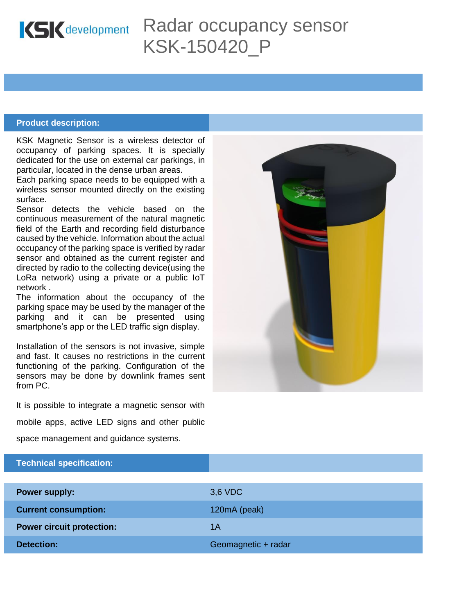

# Radar occupancy sensor KSK-150420\_P

### **Product description:**

KSK Magnetic Sensor is a wireless detector of occupancy of parking spaces. It is specially dedicated for the use on external car parkings, in particular, located in the dense urban areas.

Each parking space needs to be equipped with a wireless sensor mounted directly on the existing surface.

Sensor detects the vehicle based on the continuous measurement of the natural magnetic field of the Earth and recording field disturbance caused by the vehicle. Information about the actual occupancy of the parking space is verified by radar sensor and obtained as the current register and directed by radio to the collecting device(using the LoRa network) using a private or a public IoT network .

The information about the occupancy of the parking space may be used by the manager of the parking and it can be presented using smartphone's app or the LED traffic sign display.

Installation of the sensors is not invasive, simple and fast. It causes no restrictions in the current functioning of the parking. Configuration of the sensors may be done by downlink frames sent from PC.

It is possible to integrate a magnetic sensor with

mobile apps, active LED signs and other public

space management and guidance systems.

| Technical specification:         |                     |
|----------------------------------|---------------------|
|                                  |                     |
| <b>Power supply:</b>             | 3,6 VDC             |
| <b>Current consumption:</b>      | 120mA (peak)        |
| <b>Power circuit protection:</b> | 1Α                  |
| <b>Detection:</b>                | Geomagnetic + radar |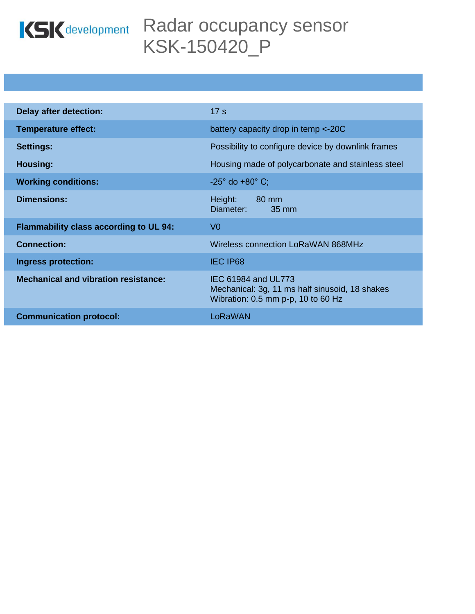

# KSK development Radar occupancy sensor KSK-150420\_P

| <b>Delay after detection:</b>                 | 17 <sub>s</sub>                                                                                             |
|-----------------------------------------------|-------------------------------------------------------------------------------------------------------------|
| <b>Temperature effect:</b>                    | battery capacity drop in temp <-20C                                                                         |
| <b>Settings:</b>                              | Possibility to configure device by downlink frames                                                          |
| Housing:                                      | Housing made of polycarbonate and stainless steel                                                           |
| <b>Working conditions:</b>                    | $-25^{\circ}$ do $+80^{\circ}$ C;                                                                           |
| <b>Dimensions:</b>                            | 80 mm<br>Height:<br>Diameter:<br>35 mm                                                                      |
| <b>Flammability class according to UL 94:</b> | V <sub>0</sub>                                                                                              |
| <b>Connection:</b>                            | Wireless connection LoRaWAN 868MHz                                                                          |
| <b>Ingress protection:</b>                    | <b>IEC IP68</b>                                                                                             |
| <b>Mechanical and vibration resistance:</b>   | IEC 61984 and UL773<br>Mechanical: 3g, 11 ms half sinusoid, 18 shakes<br>Wibration: 0.5 mm p-p, 10 to 60 Hz |
| <b>Communication protocol:</b>                | LoRaWAN                                                                                                     |
|                                               |                                                                                                             |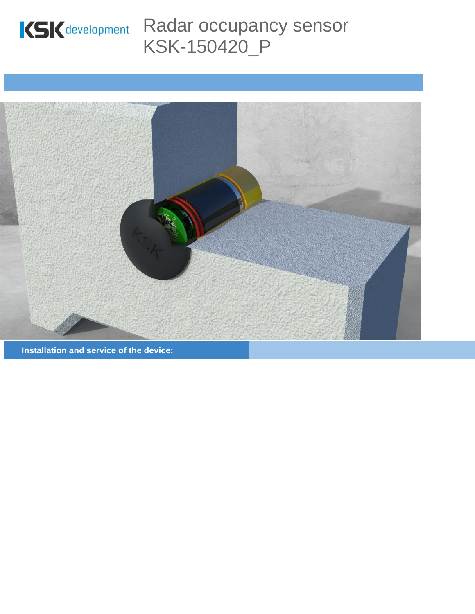

# KSK development Radar occupancy sensor KSK-150420\_P



**Installation and service of the device:**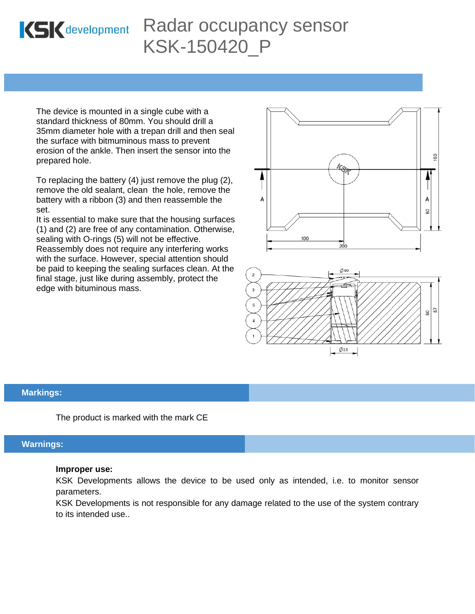

# Radar occupancy sensor KSK-150420\_P

The device is mounted in a single cube with a standard thickness of 80mm. You should drill a 35mm diameter hole with a trepan drill and then seal the surface with bitmuminous mass to prevent erosion of the ankle. Then insert the sensor into the prepared hole.

To replacing the battery (4) just remove the plug (2), remove the old sealant, clean the hole, remove the battery with a ribbon (3) and then reassemble the set.

It is essential to make sure that the housing surfaces (1) and (2) are free of any contamination. Otherwise, sealing with O-rings (5) will not be effective.

Reassembly does not require any interfering works with the surface. However, special attention should be paid to keeping the sealing surfaces clean. At the final stage, just like during assembly, protect the edge with bituminous mass.





### **Markings:**

The product is marked with the mark CE

## **Warnings:**

#### **Improper use:**

KSK Developments allows the device to be used only as intended, i.e. to monitor sensor parameters.

KSK Developments is not responsible for any damage related to the use of the system contrary to its intended use..